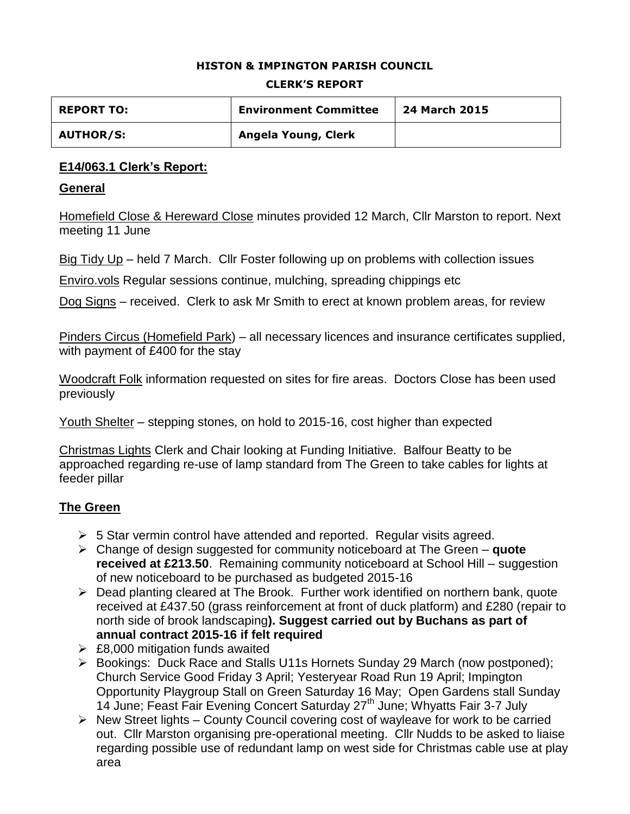#### **HISTON & IMPINGTON PARISH COUNCIL**

#### **CLERK'S REPORT**

| <b>REPORT TO:</b> | <b>Environment Committee</b> | 24 March 2015 |
|-------------------|------------------------------|---------------|
| <b>AUTHOR/S:</b>  | Angela Young, Clerk          |               |

## **E14/063.1 Clerk's Report:**

### **General**

Homefield Close & Hereward Close minutes provided 12 March, Cllr Marston to report. Next meeting 11 June

Big Tidy Up – held 7 March. Cllr Foster following up on problems with collection issues

Enviro.vols Regular sessions continue, mulching, spreading chippings etc

Dog Signs – received. Clerk to ask Mr Smith to erect at known problem areas, for review

Pinders Circus (Homefield Park) – all necessary licences and insurance certificates supplied, with payment of £400 for the stay

Woodcraft Folk information requested on sites for fire areas. Doctors Close has been used previously

Youth Shelter – stepping stones, on hold to 2015-16, cost higher than expected

Christmas Lights Clerk and Chair looking at Funding Initiative. Balfour Beatty to be approached regarding re-use of lamp standard from The Green to take cables for lights at feeder pillar

## **The Green**

- $\geq$  5 Star vermin control have attended and reported. Regular visits agreed.
- Change of design suggested for community noticeboard at The Green **quote received at £213.50**. Remaining community noticeboard at School Hill – suggestion of new noticeboard to be purchased as budgeted 2015-16
- Dead planting cleared at The Brook. Further work identified on northern bank, quote received at £437.50 (grass reinforcement at front of duck platform) and £280 (repair to north side of brook landscaping**). Suggest carried out by Buchans as part of annual contract 2015-16 if felt required**
- $\geq$  £8,000 mitigation funds awaited
- Bookings: Duck Race and Stalls U11s Hornets Sunday 29 March (now postponed); Church Service Good Friday 3 April; Yesteryear Road Run 19 April; Impington Opportunity Playgroup Stall on Green Saturday 16 May; Open Gardens stall Sunday 14 June; Feast Fair Evening Concert Saturday 27<sup>th</sup> June; Whyatts Fair 3-7 July
- $\triangleright$  New Street lights County Council covering cost of wayleave for work to be carried out. Cllr Marston organising pre-operational meeting. Cllr Nudds to be asked to liaise regarding possible use of redundant lamp on west side for Christmas cable use at play area